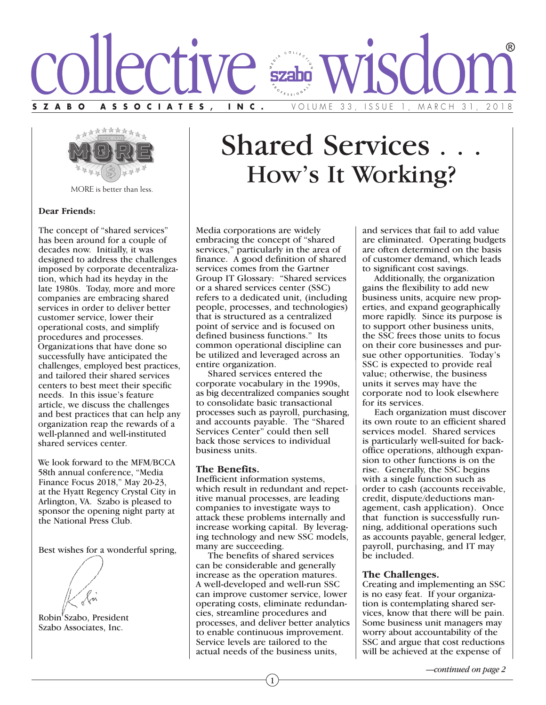



MORE is better than less.

### **Dear Friends:**

The concept of "shared services" has been around for a couple of decades now. Initially, it was designed to address the challenges imposed by corporate decentralization, which had its heyday in the late 1980s. Today, more and more companies are embracing shared services in order to deliver better customer service, lower their operational costs, and simplify procedures and processes. Organizations that have done so successfully have anticipated the challenges, employed best practices, and tailored their shared services centers to best meet their specific needs. In this issue's feature article, we discuss the challenges and best practices that can help any organization reap the rewards of a well-planned and well-instituted shared services center.

We look forward to the MFM/BCCA 58th annual conference, "Media Finance Focus 2018," May 20-23, at the Hyatt Regency Crystal City in Arlington, VA. Szabo is pleased to sponsor the opening night party at the National Press Club.

Best wishes for a wonderful spring,

Robin<sup>'</sup> Szabo, President Szabo Associates, Inc.

# **Shared Services** How's It Working?

Media corporations are widely embracing the concept of "shared services," particularly in the area of finance. A good definition of shared services comes from the Gartner Group IT Glossary: "Shared services or a shared services center (SSC) refers to a dedicated unit, (including people, processes, and technologies) that is structured as a centralized point of service and is focused on defined business functions." Its common operational discipline can be utilized and leveraged across an entire organization.

 Shared services entered the corporate vocabulary in the 1990s, as big decentralized companies sought to consolidate basic transactional processes such as payroll, purchasing, and accounts payable. The "Shared Services Center" could then sell back those services to individual business units.

# **The Benefits.**

Inefficient information systems, which result in redundant and repetitive manual processes, are leading companies to investigate ways to attack these problems internally and increase working capital. By leveraging technology and new SSC models, many are succeeding.

 The benefits of shared services can be considerable and generally increase as the operation matures. A well-developed and well-run SSC can improve customer service, lower operating costs, eliminate redundancies, streamline procedures and processes, and deliver better analytics to enable continuous improvement. Service levels are tailored to the actual needs of the business units,

1

and services that fail to add value are eliminated. Operating budgets are often determined on the basis of customer demand, which leads to significant cost savings.

 Additionally, the organization gains the flexibility to add new business units, acquire new properties, and expand geographically more rapidly. Since its purpose is to support other business units, the SSC frees those units to focus on their core businesses and pursue other opportunities. Today's SSC is expected to provide real value; otherwise, the business units it serves may have the corporate nod to look elsewhere for its services.

 Each organization must discover its own route to an efficient shared services model. Shared services is particularly well-suited for backoffice operations, although expansion to other functions is on the rise. Generally, the SSC begins with a single function such as order to cash (accounts receivable, credit, dispute/deductions management, cash application). Once that function is successfully running, additional operations such as accounts payable, general ledger, payroll, purchasing, and IT may be included.

# **The Challenges.**

Creating and implementing an SSC is no easy feat. If your organization is contemplating shared services, know that there will be pain. Some business unit managers may worry about accountability of the SSC and argue that cost reductions will be achieved at the expense of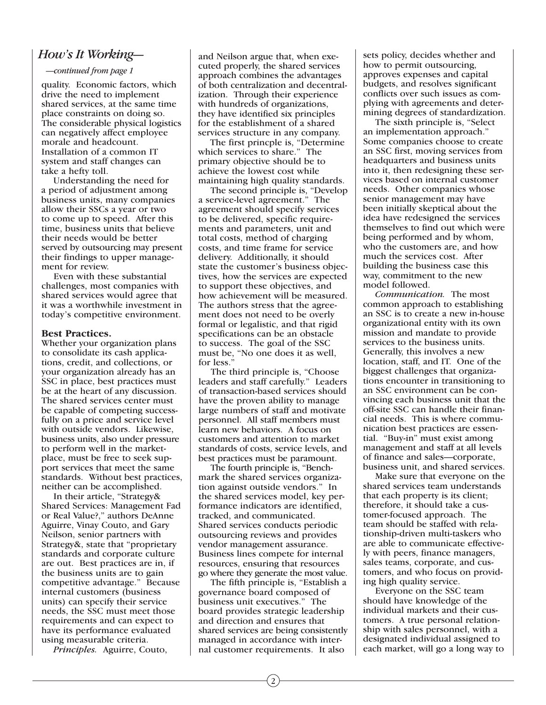# *How's It Working—*

*—continued from page 1*

quality. Economic factors, which drive the need to implement shared services, at the same time place constraints on doing so. The considerable physical logistics can negatively affect employee morale and headcount. Installation of a common IT system and staff changes can take a hefty toll.

 Understanding the need for a period of adjustment among business units, many companies allow their SSCs a year or two to come up to speed. After this time, business units that believe their needs would be better served by outsourcing may present their findings to upper management for review.

 Even with these substantial challenges, most companies with shared services would agree that it was a worthwhile investment in today's competitive environment.

### **Best Practices.**

Whether your organization plans to consolidate its cash applications, credit, and collections, or your organization already has an SSC in place, best practices must be at the heart of any discussion. The shared services center must be capable of competing successfully on a price and service level with outside vendors. Likewise, business units, also under pressure to perform well in the marketplace, must be free to seek support services that meet the same standards. Without best practices, neither can be accomplished.

 In their article, "Strategy& Shared Services: Management Fad or Real Value?," authors DeAnne Aguirre, Vinay Couto, and Gary Neilson, senior partners with Strategy&, state that "proprietary standards and corporate culture are out. Best practices are in, if the business units are to gain competitive advantage." Because internal customers (business units) can specify their service needs, the SSC must meet those requirements and can expect to have its performance evaluated using measurable criteria.

*Principles.* Aguirre, Couto,

and Neilson argue that, when executed properly, the shared services approach combines the advantages of both centralization and decentralization. Through their experience with hundreds of organizations, they have identified six principles for the establishment of a shared services structure in any company.

 The first princple is, "Determine which services to share." The primary objective should be to achieve the lowest cost while maintaining high quality standards.

 The second principle is, "Develop a service-level agreement." The agreement should specify services to be delivered, specific requirements and parameters, unit and total costs, method of charging costs, and time frame for service delivery. Additionally, it should state the customer's business objectives, how the services are expected to support these objectives, and how achievement will be measured. The authors stress that the agreement does not need to be overly formal or legalistic, and that rigid specifications can be an obstacle to success. The goal of the SSC must be, "No one does it as well, for less.'

 The third principle is, "Choose leaders and staff carefully." Leaders of transaction-based services should have the proven ability to manage large numbers of staff and motivate personnel. All staff members must learn new behaviors. A focus on customers and attention to market standards of costs, service levels, and best practices must be paramount.

 The fourth principle is, "Benchmark the shared services organization against outside vendors." In the shared services model, key performance indicators are identified, tracked, and communicated. Shared services conducts periodic outsourcing reviews and provides vendor management assurance. Business lines compete for internal resources, ensuring that resources go where they generate the most value.

 The fifth principle is, "Establish a governance board composed of business unit executives." The board provides strategic leadership and direction and ensures that shared services are being consistently managed in accordance with internal customer requirements. It also

sets policy, decides whether and how to permit outsourcing, approves expenses and capital budgets, and resolves significant conflicts over such issues as complying with agreements and determining degrees of standardization.

 The sixth principle is, "Select an implementation approach." Some companies choose to create an SSC first, moving services from headquarters and business units into it, then redesigning these services based on internal customer needs. Other companies whose senior management may have been initially skeptical about the idea have redesigned the services themselves to find out which were being performed and by whom, who the customers are, and how much the services cost. After building the business case this way, commitment to the new model followed.

 *Communication.* The most common approach to establishing an SSC is to create a new in-house organizational entity with its own mission and mandate to provide services to the business units. Generally, this involves a new location, staff, and IT. One of the biggest challenges that organizations encounter in transitioning to an SSC environment can be convincing each business unit that the off-site SSC can handle their financial needs. This is where communication best practices are essential. "Buy-in" must exist among management and staff at all levels of finance and sales—corporate, business unit, and shared services.

 Make sure that everyone on the shared services team understands that each property is its client; therefore, it should take a customer-focused approach. The team should be staffed with relationship-driven multi-taskers who are able to communicate effectively with peers, finance managers, sales teams, corporate, and customers, and who focus on providing high quality service.

 Everyone on the SSC team should have knowledge of the individual markets and their customers. A true personal relationship with sales personnel, with a designated individual assigned to each market, will go a long way to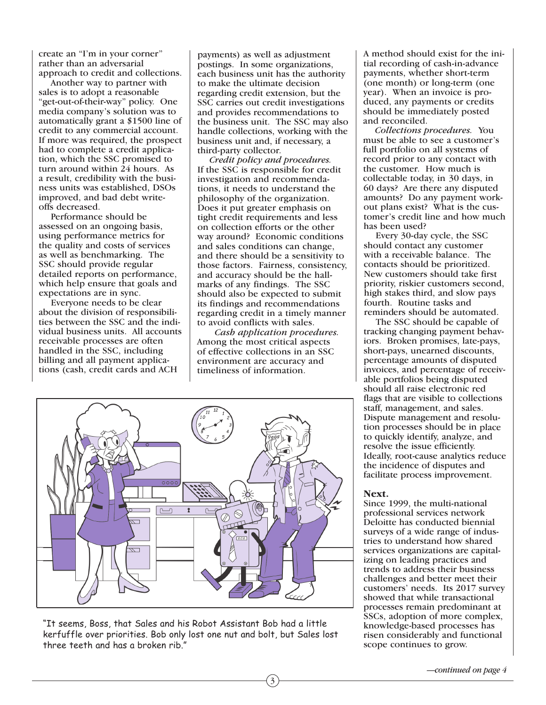create an "I'm in your corner" rather than an adversarial approach to credit and collections.

 Another way to partner with sales is to adopt a reasonable "get-out-of-their-way" policy. One media company's solution was to automatically grant a \$1500 line of credit to any commercial account. If more was required, the prospect had to complete a credit application, which the SSC promised to turn around within 24 hours. As a result, credibility with the business units was established, DSOs improved, and bad debt writeoffs decreased.

 Performance should be assessed on an ongoing basis, using performance metrics for the quality and costs of services as well as benchmarking. The SSC should provide regular detailed reports on performance, which help ensure that goals and expectations are in sync.

 Everyone needs to be clear about the division of responsibilities between the SSC and the individual business units. All accounts receivable processes are often handled in the SSC, including billing and all payment applications (cash, credit cards and ACH

payments) as well as adjustment postings. In some organizations, each business unit has the authority to make the ultimate decision regarding credit extension, but the SSC carries out credit investigations and provides recommendations to the business unit. The SSC may also handle collections, working with the business unit and, if necessary, a third-party collector.

 *Credit policy and procedures.* If the SSC is responsible for credit investigation and recommendations, it needs to understand the philosophy of the organization. Does it put greater emphasis on tight credit requirements and less on collection efforts or the other way around? Economic conditions and sales conditions can change, and there should be a sensitivity to those factors. Fairness, consistency, and accuracy should be the hallmarks of any findings. The SSC should also be expected to submit its findings and recommendations regarding credit in a timely manner to avoid conflicts with sales.

 *Cash application procedures.* Among the most critical aspects of effective collections in an SSC environment are accuracy and timeliness of information.

3



"It seems, Boss, that Sales and his Robot Assistant Bob had a little kerfuffle over priorities. Bob only lost one nut and bolt, but Sales lost three teeth and has a broken rib."

A method should exist for the initial recording of cash-in-advance payments, whether short-term (one month) or long-term (one year). When an invoice is produced, any payments or credits should be immediately posted and reconciled.

 *Collections procedures.* You must be able to see a customer's full portfolio on all systems of record prior to any contact with the customer. How much is collectable today, in 30 days, in 60 days? Are there any disputed amounts? Do any payment workout plans exist? What is the customer's credit line and how much has been used?

 Every 30-day cycle, the SSC should contact any customer with a receivable balance. The contacts should be prioritized. New customers should take first priority, riskier customers second, high stakes third, and slow pays fourth. Routine tasks and reminders should be automated.

 The SSC should be capable of tracking changing payment behaviors. Broken promises, late-pays, short-pays, unearned discounts, percentage amounts of disputed invoices, and percentage of receivable portfolios being disputed should all raise electronic red flags that are visible to collections staff, management, and sales. Dispute management and resolution processes should be in place to quickly identify, analyze, and resolve the issue efficiently. Ideally, root-cause analytics reduce the incidence of disputes and facilitate process improvement.

**Next.** Since 1999, the multi-national professional services network Deloitte has conducted biennial surveys of a wide range of industries to understand how shared services organizations are capitalizing on leading practices and trends to address their business challenges and better meet their customers' needs. Its 2017 survey showed that while transactional processes remain predominant at SSCs, adoption of more complex, knowledge-based processes has risen considerably and functional scope continues to grow.